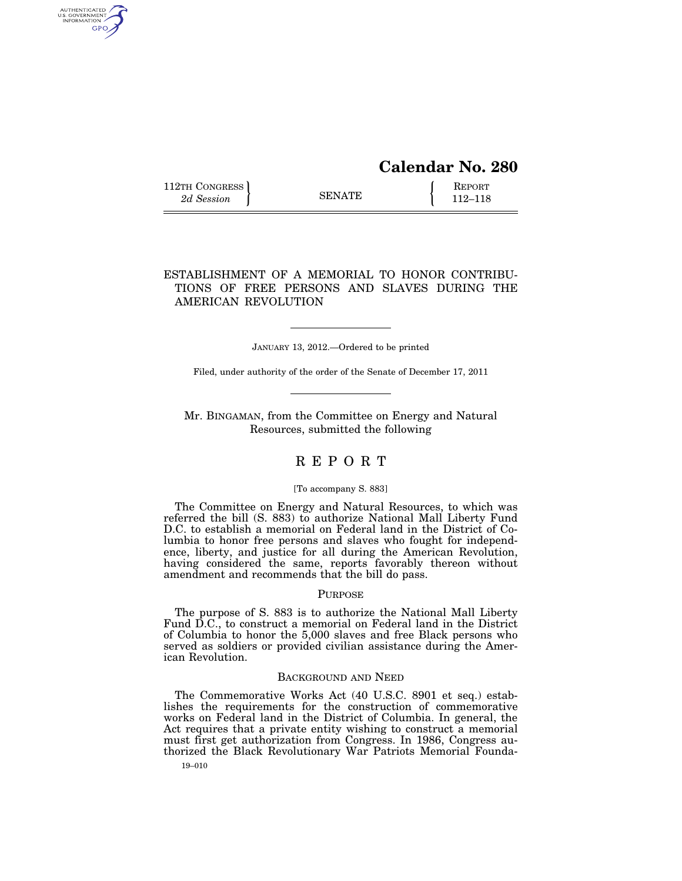# **Calendar No. 280**

112TH CONGRESS **REPORT** 2d Session **112–118** 

AUTHENTICATED<br>U.S. GOVERNMENT<br>INFORMATION **GPO** 

## ESTABLISHMENT OF A MEMORIAL TO HONOR CONTRIBU-TIONS OF FREE PERSONS AND SLAVES DURING THE AMERICAN REVOLUTION

JANUARY 13, 2012.—Ordered to be printed

Filed, under authority of the order of the Senate of December 17, 2011

Mr. BINGAMAN, from the Committee on Energy and Natural Resources, submitted the following

## R E P O R T

#### [To accompany S. 883]

The Committee on Energy and Natural Resources, to which was referred the bill (S. 883) to authorize National Mall Liberty Fund D.C. to establish a memorial on Federal land in the District of Columbia to honor free persons and slaves who fought for independence, liberty, and justice for all during the American Revolution, having considered the same, reports favorably thereon without amendment and recommends that the bill do pass.

### PURPOSE

The purpose of S. 883 is to authorize the National Mall Liberty Fund D.C., to construct a memorial on Federal land in the District of Columbia to honor the 5,000 slaves and free Black persons who served as soldiers or provided civilian assistance during the American Revolution.

#### BACKGROUND AND NEED

The Commemorative Works Act (40 U.S.C. 8901 et seq.) establishes the requirements for the construction of commemorative works on Federal land in the District of Columbia. In general, the Act requires that a private entity wishing to construct a memorial must first get authorization from Congress. In 1986, Congress authorized the Black Revolutionary War Patriots Memorial Founda-

19–010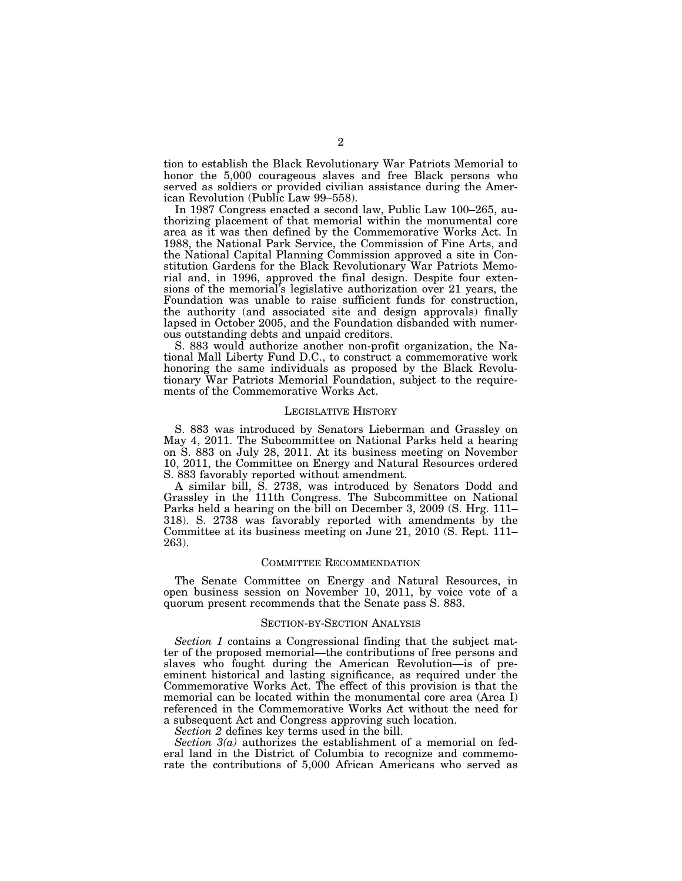tion to establish the Black Revolutionary War Patriots Memorial to honor the 5,000 courageous slaves and free Black persons who served as soldiers or provided civilian assistance during the American Revolution (Public Law 99–558).

In 1987 Congress enacted a second law, Public Law 100–265, authorizing placement of that memorial within the monumental core area as it was then defined by the Commemorative Works Act. In 1988, the National Park Service, the Commission of Fine Arts, and the National Capital Planning Commission approved a site in Constitution Gardens for the Black Revolutionary War Patriots Memorial and, in 1996, approved the final design. Despite four extensions of the memorial's legislative authorization over 21 years, the Foundation was unable to raise sufficient funds for construction, the authority (and associated site and design approvals) finally lapsed in October 2005, and the Foundation disbanded with numerous outstanding debts and unpaid creditors.

S. 883 would authorize another non-profit organization, the National Mall Liberty Fund D.C., to construct a commemorative work honoring the same individuals as proposed by the Black Revolutionary War Patriots Memorial Foundation, subject to the requirements of the Commemorative Works Act.

#### LEGISLATIVE HISTORY

S. 883 was introduced by Senators Lieberman and Grassley on May 4, 2011. The Subcommittee on National Parks held a hearing on S. 883 on July 28, 2011. At its business meeting on November 10, 2011, the Committee on Energy and Natural Resources ordered S. 883 favorably reported without amendment.

A similar bill, S. 2738, was introduced by Senators Dodd and Grassley in the 111th Congress. The Subcommittee on National Parks held a hearing on the bill on December 3, 2009 (S. Hrg. 111– 318). S. 2738 was favorably reported with amendments by the Committee at its business meeting on June 21, 2010 (S. Rept. 111– 263).

#### COMMITTEE RECOMMENDATION

The Senate Committee on Energy and Natural Resources, in open business session on November 10, 2011, by voice vote of a quorum present recommends that the Senate pass S. 883.

#### SECTION-BY-SECTION ANALYSIS

*Section 1* contains a Congressional finding that the subject matter of the proposed memorial—the contributions of free persons and slaves who fought during the American Revolution—is of preeminent historical and lasting significance, as required under the Commemorative Works Act. The effect of this provision is that the memorial can be located within the monumental core area (Area I) referenced in the Commemorative Works Act without the need for a subsequent Act and Congress approving such location.

*Section 2* defines key terms used in the bill.

*Section 3(a)* authorizes the establishment of a memorial on federal land in the District of Columbia to recognize and commemorate the contributions of 5,000 African Americans who served as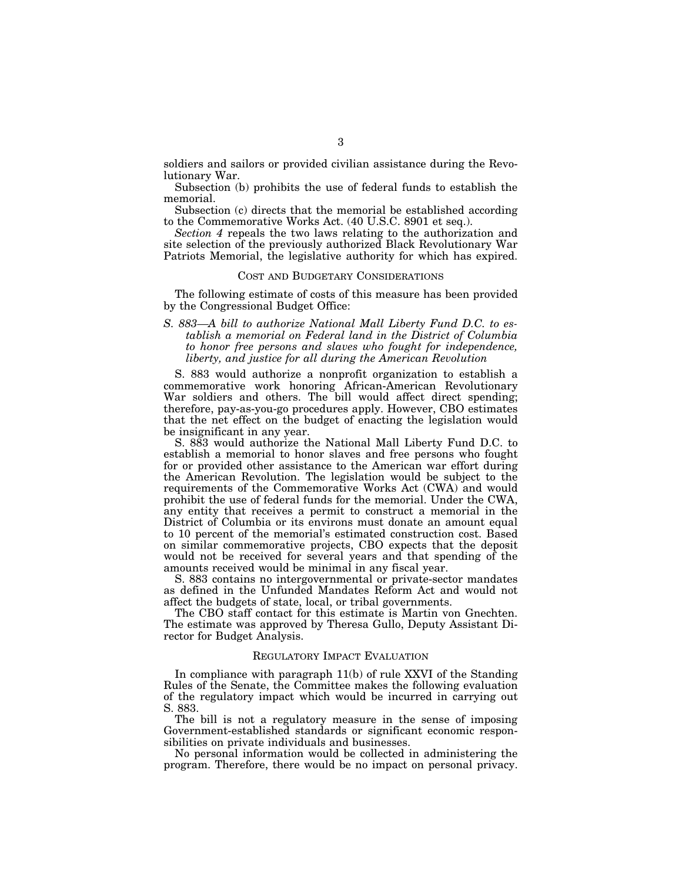soldiers and sailors or provided civilian assistance during the Revolutionary War.

Subsection (b) prohibits the use of federal funds to establish the memorial.

Subsection (c) directs that the memorial be established according to the Commemorative Works Act. (40 U.S.C. 8901 et seq.).

*Section 4* repeals the two laws relating to the authorization and site selection of the previously authorized Black Revolutionary War Patriots Memorial, the legislative authority for which has expired.

#### COST AND BUDGETARY CONSIDERATIONS

The following estimate of costs of this measure has been provided by the Congressional Budget Office:

*S. 883—A bill to authorize National Mall Liberty Fund D.C. to establish a memorial on Federal land in the District of Columbia to honor free persons and slaves who fought for independence, liberty, and justice for all during the American Revolution* 

S. 883 would authorize a nonprofit organization to establish a commemorative work honoring African-American Revolutionary War soldiers and others. The bill would affect direct spending; therefore, pay-as-you-go procedures apply. However, CBO estimates that the net effect on the budget of enacting the legislation would be insignificant in any year.

S. 883 would authorize the National Mall Liberty Fund D.C. to establish a memorial to honor slaves and free persons who fought for or provided other assistance to the American war effort during the American Revolution. The legislation would be subject to the requirements of the Commemorative Works Act (CWA) and would prohibit the use of federal funds for the memorial. Under the CWA, any entity that receives a permit to construct a memorial in the District of Columbia or its environs must donate an amount equal to 10 percent of the memorial's estimated construction cost. Based on similar commemorative projects, CBO expects that the deposit would not be received for several years and that spending of the amounts received would be minimal in any fiscal year.

S. 883 contains no intergovernmental or private-sector mandates as defined in the Unfunded Mandates Reform Act and would not affect the budgets of state, local, or tribal governments.

The CBO staff contact for this estimate is Martin von Gnechten. The estimate was approved by Theresa Gullo, Deputy Assistant Director for Budget Analysis.

#### REGULATORY IMPACT EVALUATION

In compliance with paragraph 11(b) of rule XXVI of the Standing Rules of the Senate, the Committee makes the following evaluation of the regulatory impact which would be incurred in carrying out S. 883.

The bill is not a regulatory measure in the sense of imposing Government-established standards or significant economic responsibilities on private individuals and businesses.

No personal information would be collected in administering the program. Therefore, there would be no impact on personal privacy.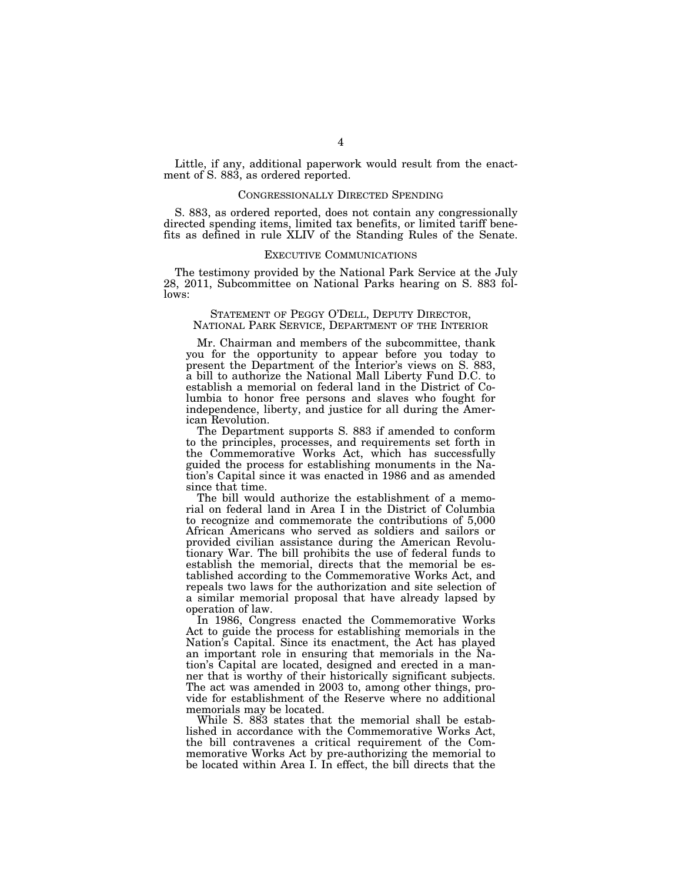Little, if any, additional paperwork would result from the enactment of S. 883, as ordered reported.

#### CONGRESSIONALLY DIRECTED SPENDING

S. 883, as ordered reported, does not contain any congressionally directed spending items, limited tax benefits, or limited tariff benefits as defined in rule XLIV of the Standing Rules of the Senate.

#### EXECUTIVE COMMUNICATIONS

The testimony provided by the National Park Service at the July 28, 2011, Subcommittee on National Parks hearing on S. 883 follows:

# STATEMENT OF PEGGY O'DELL, DEPUTY DIRECTOR, NATIONAL PARK SERVICE, DEPARTMENT OF THE INTERIOR

Mr. Chairman and members of the subcommittee, thank you for the opportunity to appear before you today to present the Department of the Interior's views on S. 883, a bill to authorize the National Mall Liberty Fund D.C. to establish a memorial on federal land in the District of Columbia to honor free persons and slaves who fought for independence, liberty, and justice for all during the American Revolution.

The Department supports S. 883 if amended to conform to the principles, processes, and requirements set forth in the Commemorative Works Act, which has successfully guided the process for establishing monuments in the Nation's Capital since it was enacted in 1986 and as amended since that time.

The bill would authorize the establishment of a memorial on federal land in Area I in the District of Columbia to recognize and commemorate the contributions of 5,000 African Americans who served as soldiers and sailors or provided civilian assistance during the American Revolutionary War. The bill prohibits the use of federal funds to establish the memorial, directs that the memorial be established according to the Commemorative Works Act, and repeals two laws for the authorization and site selection of a similar memorial proposal that have already lapsed by operation of law.

In 1986, Congress enacted the Commemorative Works Act to guide the process for establishing memorials in the Nation's Capital. Since its enactment, the Act has played an important role in ensuring that memorials in the Nation's Capital are located, designed and erected in a manner that is worthy of their historically significant subjects. The act was amended in 2003 to, among other things, provide for establishment of the Reserve where no additional memorials may be located.

While S. 883 states that the memorial shall be established in accordance with the Commemorative Works Act, the bill contravenes a critical requirement of the Commemorative Works Act by pre-authorizing the memorial to be located within Area I. In effect, the bill directs that the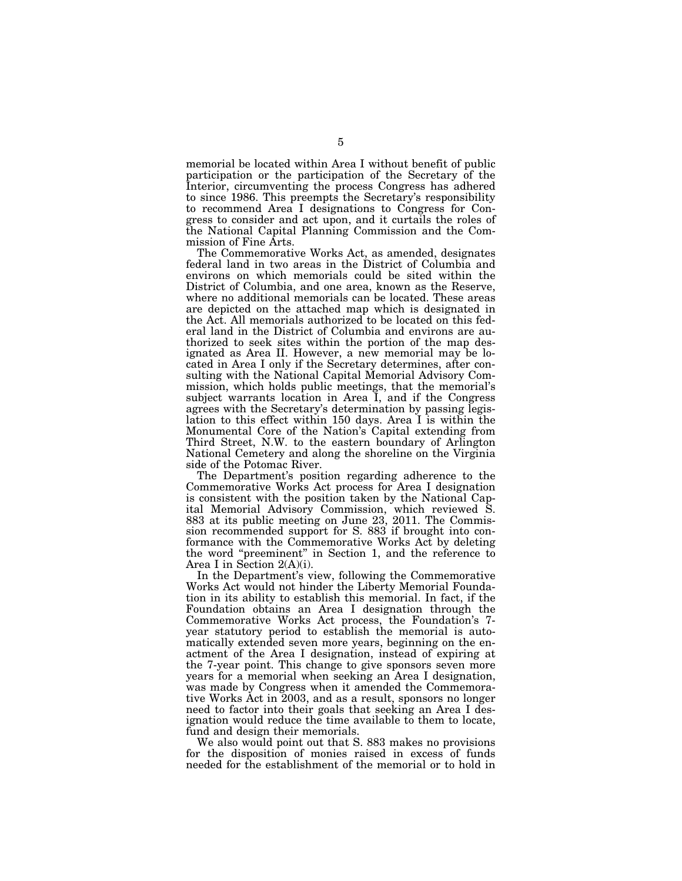memorial be located within Area I without benefit of public participation or the participation of the Secretary of the Interior, circumventing the process Congress has adhered to since 1986. This preempts the Secretary's responsibility to recommend Area I designations to Congress for Congress to consider and act upon, and it curtails the roles of the National Capital Planning Commission and the Commission of Fine Arts.

The Commemorative Works Act, as amended, designates federal land in two areas in the District of Columbia and environs on which memorials could be sited within the District of Columbia, and one area, known as the Reserve, where no additional memorials can be located. These areas are depicted on the attached map which is designated in the Act. All memorials authorized to be located on this federal land in the District of Columbia and environs are authorized to seek sites within the portion of the map designated as Area II. However, a new memorial may be located in Area I only if the Secretary determines, after consulting with the National Capital Memorial Advisory Commission, which holds public meetings, that the memorial's subject warrants location in Area I, and if the Congress agrees with the Secretary's determination by passing legislation to this effect within 150 days. Area I is within the Monumental Core of the Nation's Capital extending from Third Street, N.W. to the eastern boundary of Arlington National Cemetery and along the shoreline on the Virginia side of the Potomac River.

The Department's position regarding adherence to the Commemorative Works Act process for Area I designation is consistent with the position taken by the National Capital Memorial Advisory Commission, which reviewed S. 883 at its public meeting on June 23, 2011. The Commission recommended support for S. 883 if brought into conformance with the Commemorative Works Act by deleting the word ''preeminent'' in Section 1, and the reference to Area I in Section 2(A)(i).

In the Department's view, following the Commemorative Works Act would not hinder the Liberty Memorial Foundation in its ability to establish this memorial. In fact, if the Foundation obtains an Area I designation through the Commemorative Works Act process, the Foundation's 7 year statutory period to establish the memorial is automatically extended seven more years, beginning on the enactment of the Area I designation, instead of expiring at the 7-year point. This change to give sponsors seven more years for a memorial when seeking an Area I designation, was made by Congress when it amended the Commemorative Works Act in 2003, and as a result, sponsors no longer need to factor into their goals that seeking an Area I designation would reduce the time available to them to locate, fund and design their memorials.

We also would point out that S. 883 makes no provisions for the disposition of monies raised in excess of funds needed for the establishment of the memorial or to hold in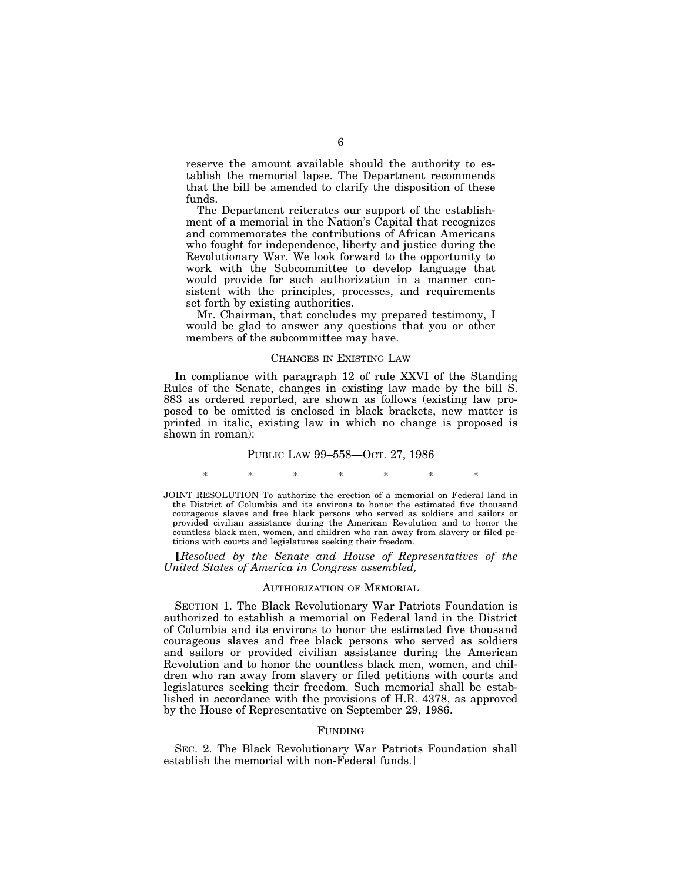reserve the amount available should the authority to establish the memorial lapse. The Department recommends that the bill be amended to clarify the disposition of these funds.

The Department reiterates our support of the establishment of a memorial in the Nation's Capital that recognizes and commemorates the contributions of African Americans who fought for independence, liberty and justice during the Revolutionary War. We look forward to the opportunity to work with the Subcommittee to develop language that would provide for such authorization in a manner consistent with the principles, processes, and requirements set forth by existing authorities.

Mr. Chairman, that concludes my prepared testimony, I would be glad to answer any questions that you or other members of the subcommittee may have.

#### CHANGES IN EXISTING LAW

In compliance with paragraph 12 of rule XXVI of the Standing Rules of the Senate, changes in existing law made by the bill S. 883 as ordered reported, are shown as follows (existing law proposed to be omitted is enclosed in black brackets, new matter is printed in italic, existing law in which no change is proposed is shown in roman):

#### PUBLIC LAW 99–558—OCT. 27, 1986

\* \* \* \* \* \* \*

JOINT RESOLUTION To authorize the erection of a memorial on Federal land in the District of Columbia and its environs to honor the estimated five thousand courageous slaves and free black persons who served as soldiers and sailors or provided civilian assistance during the American Revolution and to honor the countless black men, women, and children who ran away from slavery or filed petitions with courts and legislatures seeking their freedom.

ø*Resolved by the Senate and House of Representatives of the United States of America in Congress assembled,* 

#### AUTHORIZATION OF MEMORIAL

SECTION 1. The Black Revolutionary War Patriots Foundation is authorized to establish a memorial on Federal land in the District of Columbia and its environs to honor the estimated five thousand courageous slaves and free black persons who served as soldiers and sailors or provided civilian assistance during the American Revolution and to honor the countless black men, women, and children who ran away from slavery or filed petitions with courts and legislatures seeking their freedom. Such memorial shall be established in accordance with the provisions of H.R. 4378, as approved by the House of Representative on September 29, 1986.

#### FUNDING

SEC. 2. The Black Revolutionary War Patriots Foundation shall establish the memorial with non-Federal funds.]